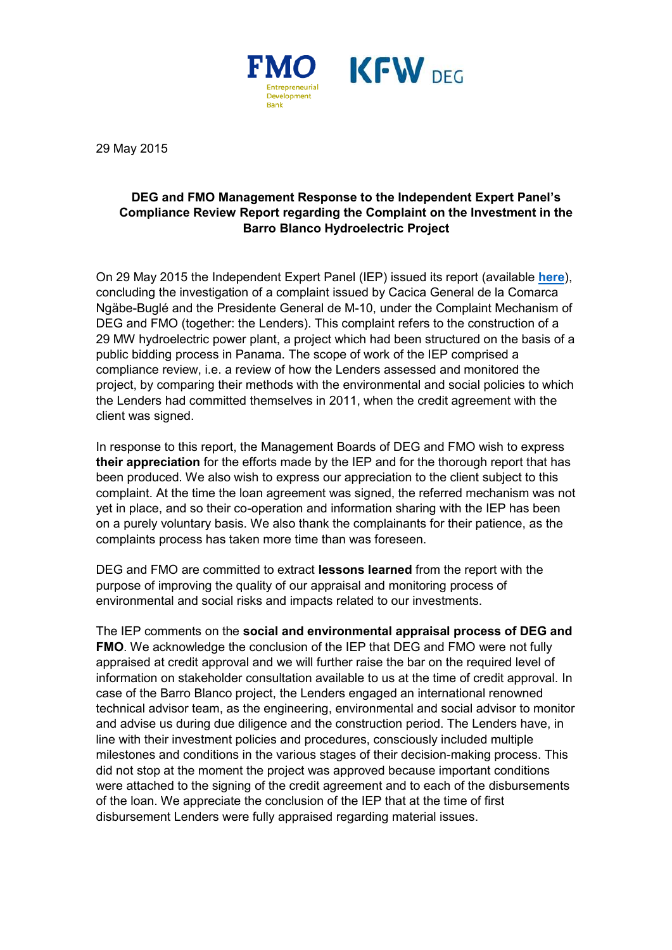

29 May 2015

## **DEG and FMO Management Response to the Independent Expert Panel's Compliance Review Report regarding the Complaint on the Investment in the Barro Blanco Hydroelectric Project**

On 29 May 2015 the Independent Expert Panel (IEP) issued its report (available **[here](https://www.fmo.nl/l/en/library/download/urn:uuid:0bc01e5f-f96e-44dd-b1a1-3d16834f6054/150529_barro+blanco+final+report.pdf?format=save_to_disk&ext=.pdf)**), concluding the investigation of a complaint issued by Cacica General de la Comarca Ngäbe-Buglé and the Presidente General de M-10, under the Complaint Mechanism of DEG and FMO (together: the Lenders). This complaint refers to the construction of a 29 MW hydroelectric power plant, a project which had been structured on the basis of a public bidding process in Panama. The scope of work of the IEP comprised a compliance review, i.e. a review of how the Lenders assessed and monitored the project, by comparing their methods with the environmental and social policies to which the Lenders had committed themselves in 2011, when the credit agreement with the client was signed.

In response to this report, the Management Boards of DEG and FMO wish to express **their appreciation** for the efforts made by the IEP and for the thorough report that has been produced. We also wish to express our appreciation to the client subject to this complaint. At the time the loan agreement was signed, the referred mechanism was not yet in place, and so their co-operation and information sharing with the IEP has been on a purely voluntary basis. We also thank the complainants for their patience, as the complaints process has taken more time than was foreseen.

DEG and FMO are committed to extract **lessons learned** from the report with the purpose of improving the quality of our appraisal and monitoring process of environmental and social risks and impacts related to our investments.

The IEP comments on the **social and environmental appraisal process of DEG and FMO**. We acknowledge the conclusion of the IEP that DEG and FMO were not fully appraised at credit approval and we will further raise the bar on the required level of information on stakeholder consultation available to us at the time of credit approval. In case of the Barro Blanco project, the Lenders engaged an international renowned technical advisor team, as the engineering, environmental and social advisor to monitor and advise us during due diligence and the construction period. The Lenders have, in line with their investment policies and procedures, consciously included multiple milestones and conditions in the various stages of their decision-making process. This did not stop at the moment the project was approved because important conditions were attached to the signing of the credit agreement and to each of the disbursements of the loan. We appreciate the conclusion of the IEP that at the time of first disbursement Lenders were fully appraised regarding material issues.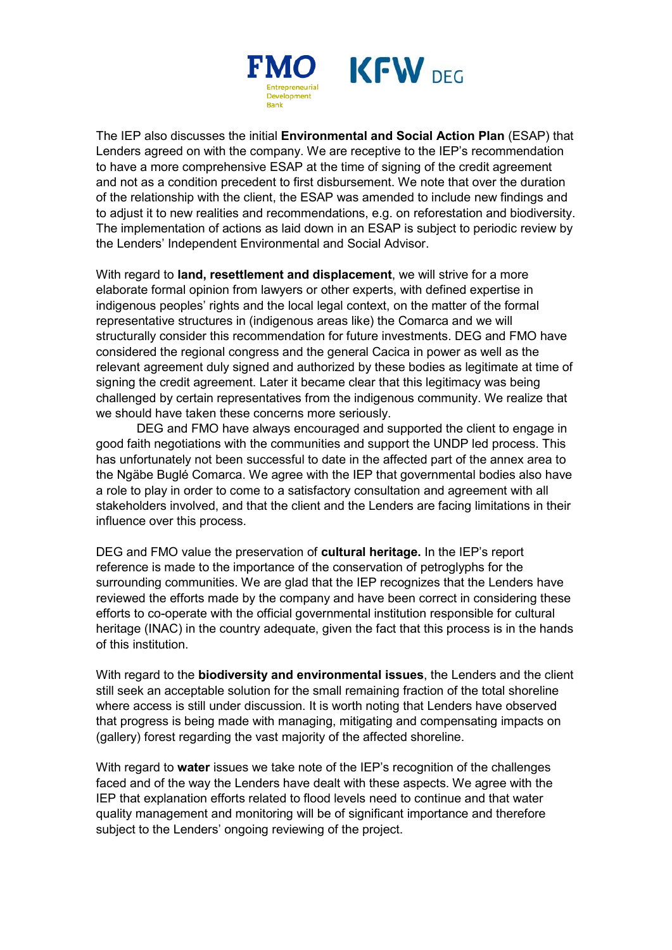

The IEP also discusses the initial **Environmental and Social Action Plan** (ESAP) that Lenders agreed on with the company. We are receptive to the IEP's recommendation to have a more comprehensive ESAP at the time of signing of the credit agreement and not as a condition precedent to first disbursement. We note that over the duration of the relationship with the client, the ESAP was amended to include new findings and to adjust it to new realities and recommendations, e.g. on reforestation and biodiversity. The implementation of actions as laid down in an ESAP is subject to periodic review by the Lenders' Independent Environmental and Social Advisor.

With regard to **land, resettlement and displacement**, we will strive for a more elaborate formal opinion from lawyers or other experts, with defined expertise in indigenous peoples' rights and the local legal context, on the matter of the formal representative structures in (indigenous areas like) the Comarca and we will structurally consider this recommendation for future investments. DEG and FMO have considered the regional congress and the general Cacica in power as well as the relevant agreement duly signed and authorized by these bodies as legitimate at time of signing the credit agreement. Later it became clear that this legitimacy was being challenged by certain representatives from the indigenous community. We realize that we should have taken these concerns more seriously.

DEG and FMO have always encouraged and supported the client to engage in good faith negotiations with the communities and support the UNDP led process. This has unfortunately not been successful to date in the affected part of the annex area to the Ngäbe Buglé Comarca. We agree with the IEP that governmental bodies also have a role to play in order to come to a satisfactory consultation and agreement with all stakeholders involved, and that the client and the Lenders are facing limitations in their influence over this process.

DEG and FMO value the preservation of **cultural heritage.** In the IEP's report reference is made to the importance of the conservation of petroglyphs for the surrounding communities. We are glad that the IEP recognizes that the Lenders have reviewed the efforts made by the company and have been correct in considering these efforts to co-operate with the official governmental institution responsible for cultural heritage (INAC) in the country adequate, given the fact that this process is in the hands of this institution.

With regard to the **biodiversity and environmental issues**, the Lenders and the client still seek an acceptable solution for the small remaining fraction of the total shoreline where access is still under discussion. It is worth noting that Lenders have observed that progress is being made with managing, mitigating and compensating impacts on (gallery) forest regarding the vast majority of the affected shoreline.

With regard to **water** issues we take note of the IEP's recognition of the challenges faced and of the way the Lenders have dealt with these aspects. We agree with the IEP that explanation efforts related to flood levels need to continue and that water quality management and monitoring will be of significant importance and therefore subject to the Lenders' ongoing reviewing of the project.